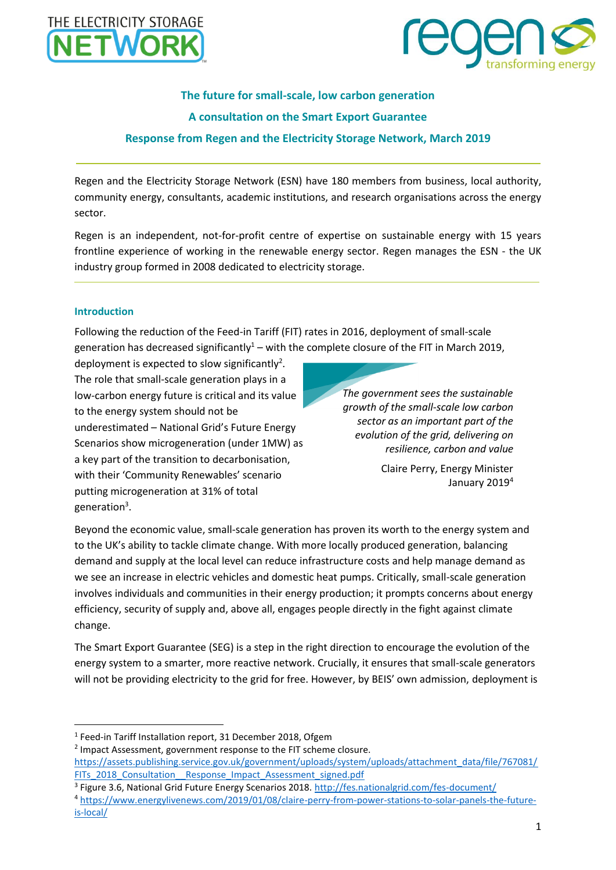



# **The future for small-scale, low carbon generation A consultation on the Smart Export Guarantee Response from Regen and the Electricity Storage Network, March 2019**

Regen and the Electricity Storage Network (ESN) have 180 members from business, local authority, community energy, consultants, academic institutions, and research organisations across the energy sector.

Regen is an independent, not-for-profit centre of expertise on sustainable energy with 15 years frontline experience of working in the renewable energy sector. Regen manages the ESN - the UK industry group formed in 2008 dedicated to electricity storage.

#### **Introduction**

1

Following the reduction of the Feed-in Tariff (FIT) rates in 2016, deployment of small-scale generation has decreased significantly<sup>1</sup> – with the complete closure of the FIT in March 2019,

deployment is expected to slow significantly<sup>2</sup>. The role that small-scale generation plays in a low-carbon energy future is critical and its value to the energy system should not be underestimated – National Grid's Future Energy Scenarios show microgeneration (under 1MW) as a key part of the transition to decarbonisation, with their 'Community Renewables' scenario putting microgeneration at 31% of total generation<sup>3</sup>.



*The government sees the sustainable growth of the small-scale low carbon sector as an important part of the evolution of the grid, delivering on resilience, carbon and value*

> Claire Perry, Energy Minister January 2019<sup>4</sup>

Beyond the economic value, small-scale generation has proven its worth to the energy system and to the UK's ability to tackle climate change. With more locally produced generation, balancing demand and supply at the local level can reduce infrastructure costs and help manage demand as we see an increase in electric vehicles and domestic heat pumps. Critically, small-scale generation involves individuals and communities in their energy production; it prompts concerns about energy efficiency, security of supply and, above all, engages people directly in the fight against climate change.

The Smart Export Guarantee (SEG) is a step in the right direction to encourage the evolution of the energy system to a smarter, more reactive network. Crucially, it ensures that small-scale generators will not be providing electricity to the grid for free. However, by BEIS' own admission, deployment is

<sup>2</sup> Impact Assessment, government response to the FIT scheme closure.

<sup>&</sup>lt;sup>1</sup> Feed-in Tariff Installation report, 31 December 2018, Ofgem

[https://assets.publishing.service.gov.uk/government/uploads/system/uploads/attachment\\_data/file/767081/](https://assets.publishing.service.gov.uk/government/uploads/system/uploads/attachment_data/file/767081/FITs_2018_Consultation__Response_Impact_Assessment_signed.pdf) FITs 2018 Consultation Response Impact Assessment signed.pdf

<sup>&</sup>lt;sup>3</sup> Figure 3.6, National Grid Future Energy Scenarios 2018.<http://fes.nationalgrid.com/fes-document/> <sup>4</sup> [https://www.energylivenews.com/2019/01/08/claire-perry-from-power-stations-to-solar-panels-the-future](https://www.energylivenews.com/2019/01/08/claire-perry-from-power-stations-to-solar-panels-the-future-is-local/)[is-local/](https://www.energylivenews.com/2019/01/08/claire-perry-from-power-stations-to-solar-panels-the-future-is-local/)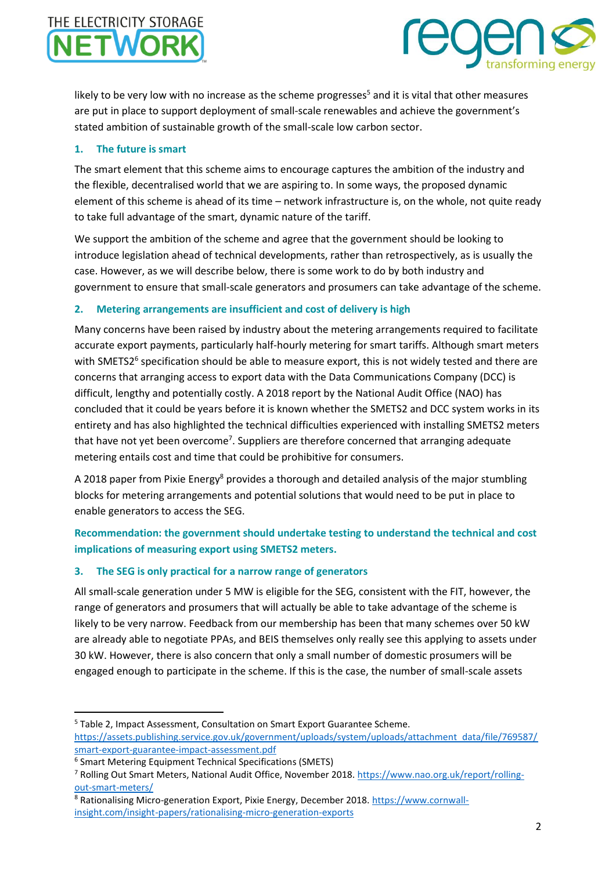# THE ELECTRICITY STORAGE



likely to be very low with no increase as the scheme progresses<sup>5</sup> and it is vital that other measures are put in place to support deployment of small-scale renewables and achieve the government's stated ambition of sustainable growth of the small-scale low carbon sector.

# **1. The future is smart**

The smart element that this scheme aims to encourage captures the ambition of the industry and the flexible, decentralised world that we are aspiring to. In some ways, the proposed dynamic element of this scheme is ahead of its time – network infrastructure is, on the whole, not quite ready to take full advantage of the smart, dynamic nature of the tariff.

We support the ambition of the scheme and agree that the government should be looking to introduce legislation ahead of technical developments, rather than retrospectively, as is usually the case. However, as we will describe below, there is some work to do by both industry and government to ensure that small-scale generators and prosumers can take advantage of the scheme.

# **2. Metering arrangements are insufficient and cost of delivery is high**

Many concerns have been raised by industry about the metering arrangements required to facilitate accurate export payments, particularly half-hourly metering for smart tariffs. Although smart meters with SMETS2<sup>6</sup> specification should be able to measure export, this is not widely tested and there are concerns that arranging access to export data with the Data Communications Company (DCC) is difficult, lengthy and potentially costly. A 2018 report by the National Audit Office (NAO) has concluded that it could be years before it is known whether the SMETS2 and DCC system works in its entirety and has also highlighted the technical difficulties experienced with installing SMETS2 meters that have not yet been overcome<sup>7</sup>. Suppliers are therefore concerned that arranging adequate metering entails cost and time that could be prohibitive for consumers.

A 2018 paper from Pixie Energy<sup>8</sup> provides a thorough and detailed analysis of the major stumbling blocks for metering arrangements and potential solutions that would need to be put in place to enable generators to access the SEG.

**Recommendation: the government should undertake testing to understand the technical and cost implications of measuring export using SMETS2 meters.**

# **3. The SEG is only practical for a narrow range of generators**

All small-scale generation under 5 MW is eligible for the SEG, consistent with the FIT, however, the range of generators and prosumers that will actually be able to take advantage of the scheme is likely to be very narrow. Feedback from our membership has been that many schemes over 50 kW are already able to negotiate PPAs, and BEIS themselves only really see this applying to assets under 30 kW. However, there is also concern that only a small number of domestic prosumers will be engaged enough to participate in the scheme. If this is the case, the number of small-scale assets

**.** 

<sup>&</sup>lt;sup>5</sup> Table 2, Impact Assessment, Consultation on Smart Export Guarantee Scheme.

[https://assets.publishing.service.gov.uk/government/uploads/system/uploads/attachment\\_data/file/769587/](https://assets.publishing.service.gov.uk/government/uploads/system/uploads/attachment_data/file/769587/smart-export-guarantee-impact-assessment.pdf) [smart-export-guarantee-impact-assessment.pdf](https://assets.publishing.service.gov.uk/government/uploads/system/uploads/attachment_data/file/769587/smart-export-guarantee-impact-assessment.pdf)

<sup>6</sup> Smart Metering Equipment Technical Specifications (SMETS)

<sup>7</sup> Rolling Out Smart Meters, National Audit Office, November 2018[. https://www.nao.org.uk/report/rolling](https://www.nao.org.uk/report/rolling-out-smart-meters/)[out-smart-meters/](https://www.nao.org.uk/report/rolling-out-smart-meters/)

<sup>&</sup>lt;sup>8</sup> Rationalising Micro-generation Export, Pixie Energy, December 2018. [https://www.cornwall](https://www.cornwall-insight.com/insight-papers/rationalising-micro-generation-exports)[insight.com/insight-papers/rationalising-micro-generation-exports](https://www.cornwall-insight.com/insight-papers/rationalising-micro-generation-exports)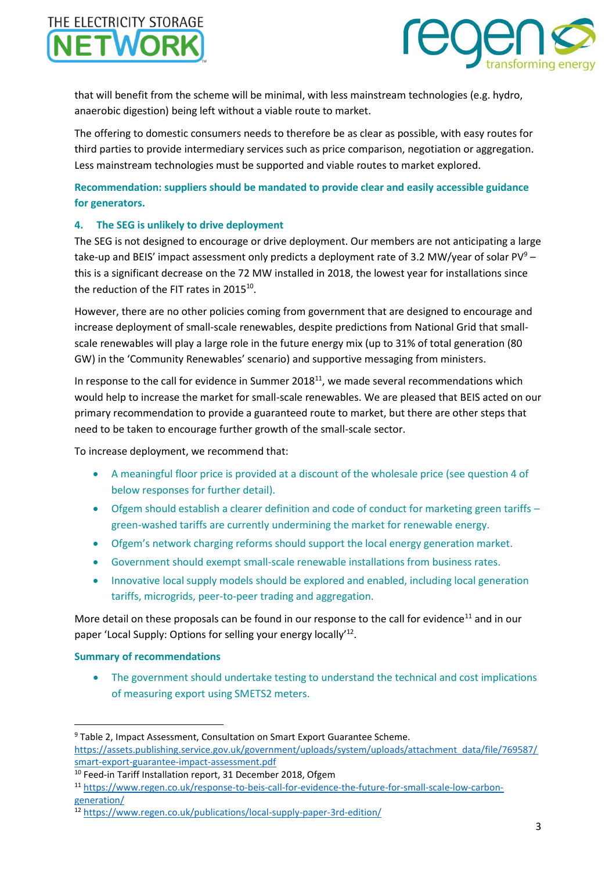



that will benefit from the scheme will be minimal, with less mainstream technologies (e.g. hydro, anaerobic digestion) being left without a viable route to market.

The offering to domestic consumers needs to therefore be as clear as possible, with easy routes for third parties to provide intermediary services such as price comparison, negotiation or aggregation. Less mainstream technologies must be supported and viable routes to market explored.

# **Recommendation: suppliers should be mandated to provide clear and easily accessible guidance for generators.**

#### **4. The SEG is unlikely to drive deployment**

The SEG is not designed to encourage or drive deployment. Our members are not anticipating a large take-up and BEIS' impact assessment only predicts a deployment rate of 3.2 MW/year of solar  $PV^9$  – this is a significant decrease on the 72 MW installed in 2018, the lowest year for installations since the reduction of the FIT rates in 2015<sup>10</sup>.

However, there are no other policies coming from government that are designed to encourage and increase deployment of small-scale renewables, despite predictions from National Grid that smallscale renewables will play a large role in the future energy mix (up to 31% of total generation (80 GW) in the 'Community Renewables' scenario) and supportive messaging from ministers.

In response to the call for evidence in Summer  $2018<sup>11</sup>$ , we made several recommendations which would help to increase the market for small-scale renewables. We are pleased that BEIS acted on our primary recommendation to provide a guaranteed route to market, but there are other steps that need to be taken to encourage further growth of the small-scale sector.

To increase deployment, we recommend that:

- A meaningful floor price is provided at a discount of the wholesale price (see question 4 of below responses for further detail).
- Ofgem should establish a clearer definition and code of conduct for marketing green tariffs green-washed tariffs are currently undermining the market for renewable energy.
- Ofgem's network charging reforms should support the local energy generation market.
- Government should exempt small-scale renewable installations from business rates.
- Innovative local supply models should be explored and enabled, including local generation tariffs, microgrids, peer-to-peer trading and aggregation.

More detail on these proposals can be found in our response to the call for evidence<sup>11</sup> and in our paper 'Local Supply: Options for selling your energy locally'<sup>12</sup>.

#### **Summary of recommendations**

1

• The government should undertake testing to understand the technical and cost implications of measuring export using SMETS2 meters.

<sup>&</sup>lt;sup>9</sup> Table 2, Impact Assessment, Consultation on Smart Export Guarantee Scheme.

[https://assets.publishing.service.gov.uk/government/uploads/system/uploads/attachment\\_data/file/769587/](https://assets.publishing.service.gov.uk/government/uploads/system/uploads/attachment_data/file/769587/smart-export-guarantee-impact-assessment.pdf) [smart-export-guarantee-impact-assessment.pdf](https://assets.publishing.service.gov.uk/government/uploads/system/uploads/attachment_data/file/769587/smart-export-guarantee-impact-assessment.pdf)

<sup>&</sup>lt;sup>10</sup> Feed-in Tariff Installation report, 31 December 2018, Ofgem

<sup>11</sup> [https://www.regen.co.uk/response-to-beis-call-for-evidence-the-future-for-small-scale-low-carbon](https://www.regen.co.uk/response-to-beis-call-for-evidence-the-future-for-small-scale-low-carbon-generation/)[generation/](https://www.regen.co.uk/response-to-beis-call-for-evidence-the-future-for-small-scale-low-carbon-generation/)

<sup>12</sup> <https://www.regen.co.uk/publications/local-supply-paper-3rd-edition/>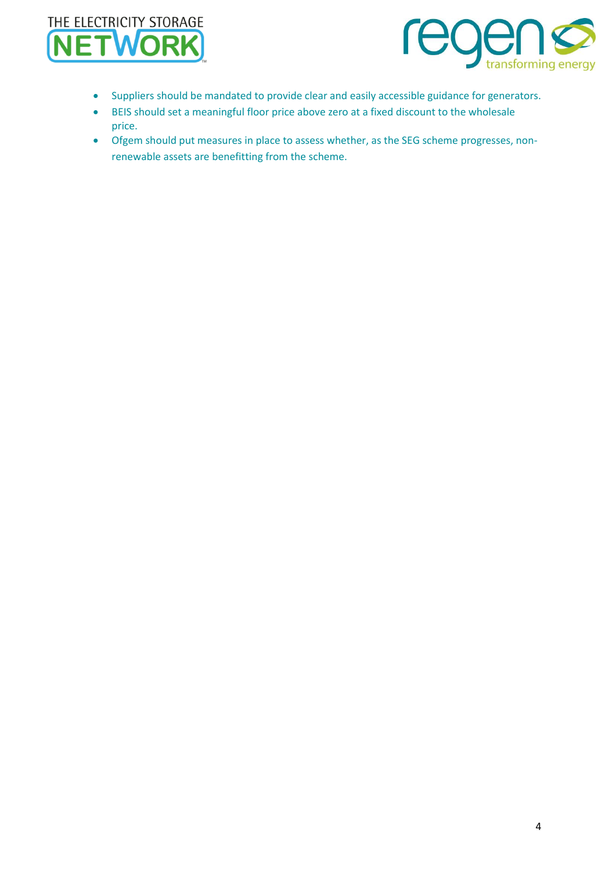



- Suppliers should be mandated to provide clear and easily accessible guidance for generators.
- BEIS should set a meaningful floor price above zero at a fixed discount to the wholesale price.
- Ofgem should put measures in place to assess whether, as the SEG scheme progresses, nonrenewable assets are benefitting from the scheme.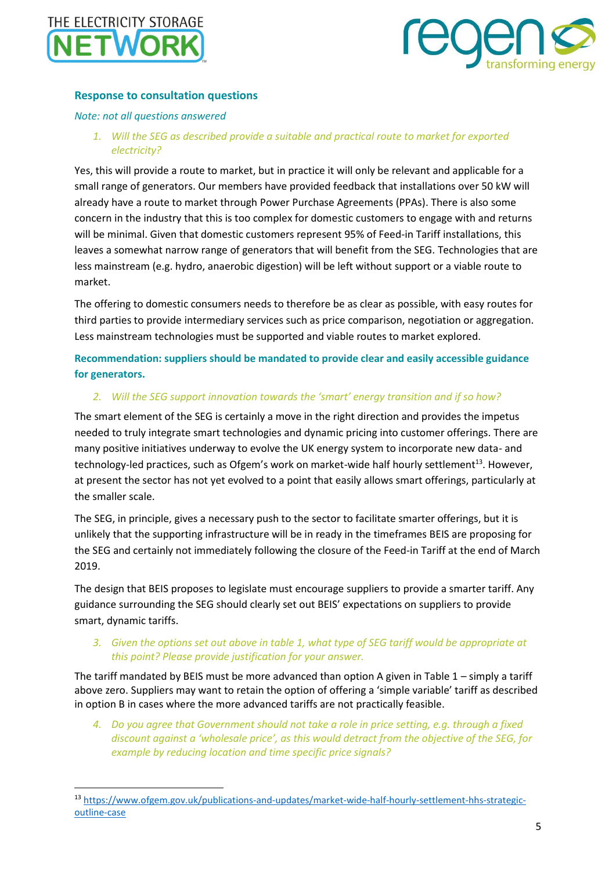

1



# **Response to consultation questions**

#### *Note: not all questions answered*

*1. Will the SEG as described provide a suitable and practical route to market for exported electricity?*

Yes, this will provide a route to market, but in practice it will only be relevant and applicable for a small range of generators. Our members have provided feedback that installations over 50 kW will already have a route to market through Power Purchase Agreements (PPAs). There is also some concern in the industry that this is too complex for domestic customers to engage with and returns will be minimal. Given that domestic customers represent 95% of Feed-in Tariff installations, this leaves a somewhat narrow range of generators that will benefit from the SEG. Technologies that are less mainstream (e.g. hydro, anaerobic digestion) will be left without support or a viable route to market.

The offering to domestic consumers needs to therefore be as clear as possible, with easy routes for third parties to provide intermediary services such as price comparison, negotiation or aggregation. Less mainstream technologies must be supported and viable routes to market explored.

**Recommendation: suppliers should be mandated to provide clear and easily accessible guidance for generators.**

#### *2. Will the SEG support innovation towards the 'smart' energy transition and if so how?*

The smart element of the SEG is certainly a move in the right direction and provides the impetus needed to truly integrate smart technologies and dynamic pricing into customer offerings. There are many positive initiatives underway to evolve the UK energy system to incorporate new data- and technology-led practices, such as Ofgem's work on market-wide half hourly settlement<sup>13</sup>. However, at present the sector has not yet evolved to a point that easily allows smart offerings, particularly at the smaller scale.

The SEG, in principle, gives a necessary push to the sector to facilitate smarter offerings, but it is unlikely that the supporting infrastructure will be in ready in the timeframes BEIS are proposing for the SEG and certainly not immediately following the closure of the Feed-in Tariff at the end of March 2019.

The design that BEIS proposes to legislate must encourage suppliers to provide a smarter tariff. Any guidance surrounding the SEG should clearly set out BEIS' expectations on suppliers to provide smart, dynamic tariffs.

# *3. Given the options set out above in table 1, what type of SEG tariff would be appropriate at this point? Please provide justification for your answer.*

The tariff mandated by BEIS must be more advanced than option A given in Table 1 – simply a tariff above zero. Suppliers may want to retain the option of offering a 'simple variable' tariff as described in option B in cases where the more advanced tariffs are not practically feasible.

*4. Do you agree that Government should not take a role in price setting, e.g. through a fixed discount against a 'wholesale price', as this would detract from the objective of the SEG, for example by reducing location and time specific price signals?*

<sup>13</sup> [https://www.ofgem.gov.uk/publications-and-updates/market-wide-half-hourly-settlement-hhs-strategic](https://www.ofgem.gov.uk/publications-and-updates/market-wide-half-hourly-settlement-hhs-strategic-outline-case)[outline-case](https://www.ofgem.gov.uk/publications-and-updates/market-wide-half-hourly-settlement-hhs-strategic-outline-case)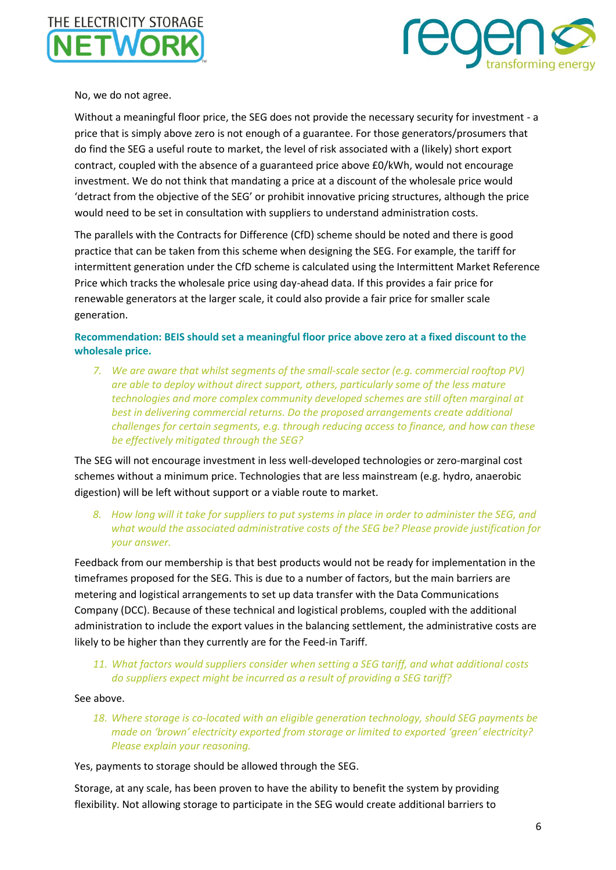



No, we do not agree.

Without a meaningful floor price, the SEG does not provide the necessary security for investment - a price that is simply above zero is not enough of a guarantee. For those generators/prosumers that do find the SEG a useful route to market, the level of risk associated with a (likely) short export contract, coupled with the absence of a guaranteed price above £0/kWh, would not encourage investment. We do not think that mandating a price at a discount of the wholesale price would 'detract from the objective of the SEG' or prohibit innovative pricing structures, although the price would need to be set in consultation with suppliers to understand administration costs.

The parallels with the Contracts for Difference (CfD) scheme should be noted and there is good practice that can be taken from this scheme when designing the SEG. For example, the tariff for intermittent generation under the CfD scheme is calculated using the Intermittent Market Reference Price which tracks the wholesale price using day-ahead data. If this provides a fair price for renewable generators at the larger scale, it could also provide a fair price for smaller scale generation.

# **Recommendation: BEIS should set a meaningful floor price above zero at a fixed discount to the wholesale price.**

*7. We are aware that whilst segments of the small-scale sector (e.g. commercial rooftop PV) are able to deploy without direct support, others, particularly some of the less mature technologies and more complex community developed schemes are still often marginal at best in delivering commercial returns. Do the proposed arrangements create additional challenges for certain segments, e.g. through reducing access to finance, and how can these be effectively mitigated through the SEG?*

The SEG will not encourage investment in less well-developed technologies or zero-marginal cost schemes without a minimum price. Technologies that are less mainstream (e.g. hydro, anaerobic digestion) will be left without support or a viable route to market.

*8. How long will it take for suppliers to put systems in place in order to administer the SEG, and what would the associated administrative costs of the SEG be? Please provide justification for your answer.*

Feedback from our membership is that best products would not be ready for implementation in the timeframes proposed for the SEG. This is due to a number of factors, but the main barriers are metering and logistical arrangements to set up data transfer with the Data Communications Company (DCC). Because of these technical and logistical problems, coupled with the additional administration to include the export values in the balancing settlement, the administrative costs are likely to be higher than they currently are for the Feed-in Tariff.

*11. What factors would suppliers consider when setting a SEG tariff, and what additional costs do suppliers expect might be incurred as a result of providing a SEG tariff?*

#### See above.

*18. Where storage is co-located with an eligible generation technology, should SEG payments be made on 'brown' electricity exported from storage or limited to exported 'green' electricity? Please explain your reasoning.*

Yes, payments to storage should be allowed through the SEG.

Storage, at any scale, has been proven to have the ability to benefit the system by providing flexibility. Not allowing storage to participate in the SEG would create additional barriers to